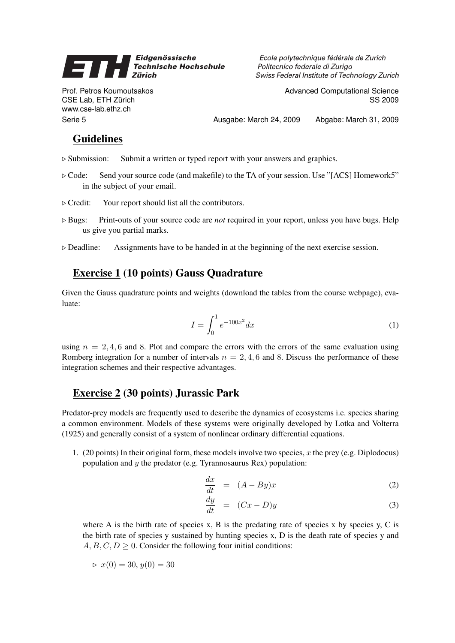## Eidgenössische 71 **Technische Hochschule Zürich**

Prof. Petros Koumoutsakos CSE Lab, ETH Zürich www.cse-lab.ethz.ch

Ecole polytechnique fédérale de Zurich Politecnico federale di Zurigo Swiss Federal Institute of Technology Zurich

> Advanced Computational Science SS 2009

Serie 5 Ausgabe: March 24, 2009 Abgabe: March 31, 2009

## Guidelines

- $\triangleright$  Submission: Submit a written or typed report with your answers and graphics.
- $\triangleright$  Code: Send your source code (and makefile) to the TA of your session. Use "[ACS] Homework5" in the subject of your email.
- $\triangleright$  Credit: Your report should list all the contributors.
- $\triangleright$  Bugs: Print-outs of your source code are *not* required in your report, unless you have bugs. Help us give you partial marks.
- $\triangleright$  Deadline: Assignments have to be handed in at the beginning of the next exercise session.

## Exercise 1 (10 points) Gauss Quadrature

Given the Gauss quadrature points and weights (download the tables from the course webpage), evaluate:

$$
I = \int_0^1 e^{-100x^2} dx
$$
 (1)

using  $n = 2, 4, 6$  and 8. Plot and compare the errors with the errors of the same evaluation using Romberg integration for a number of intervals  $n = 2, 4, 6$  and 8. Discuss the performance of these integration schemes and their respective advantages.

## Exercise 2 (30 points) Jurassic Park

Predator-prey models are frequently used to describe the dynamics of ecosystems i.e. species sharing a common environment. Models of these systems were originally developed by Lotka and Volterra (1925) and generally consist of a system of nonlinear ordinary differential equations.

1. (20 points) In their original form, these models involve two species, x the prey (e.g. Diplodocus) population and  $y$  the predator (e.g. Tyrannosaurus Rex) population:

$$
\frac{dx}{dt} = (A - By)x \tag{2}
$$

$$
\frac{dy}{dt} = (Cx - D)y \tag{3}
$$

where A is the birth rate of species x, B is the predating rate of species x by species y, C is the birth rate of species y sustained by hunting species x, D is the death rate of species y and  $A, B, C, D \geq 0$ . Consider the following four initial conditions:

$$
\triangleright \ x(0) = 30, \, y(0) = 30
$$